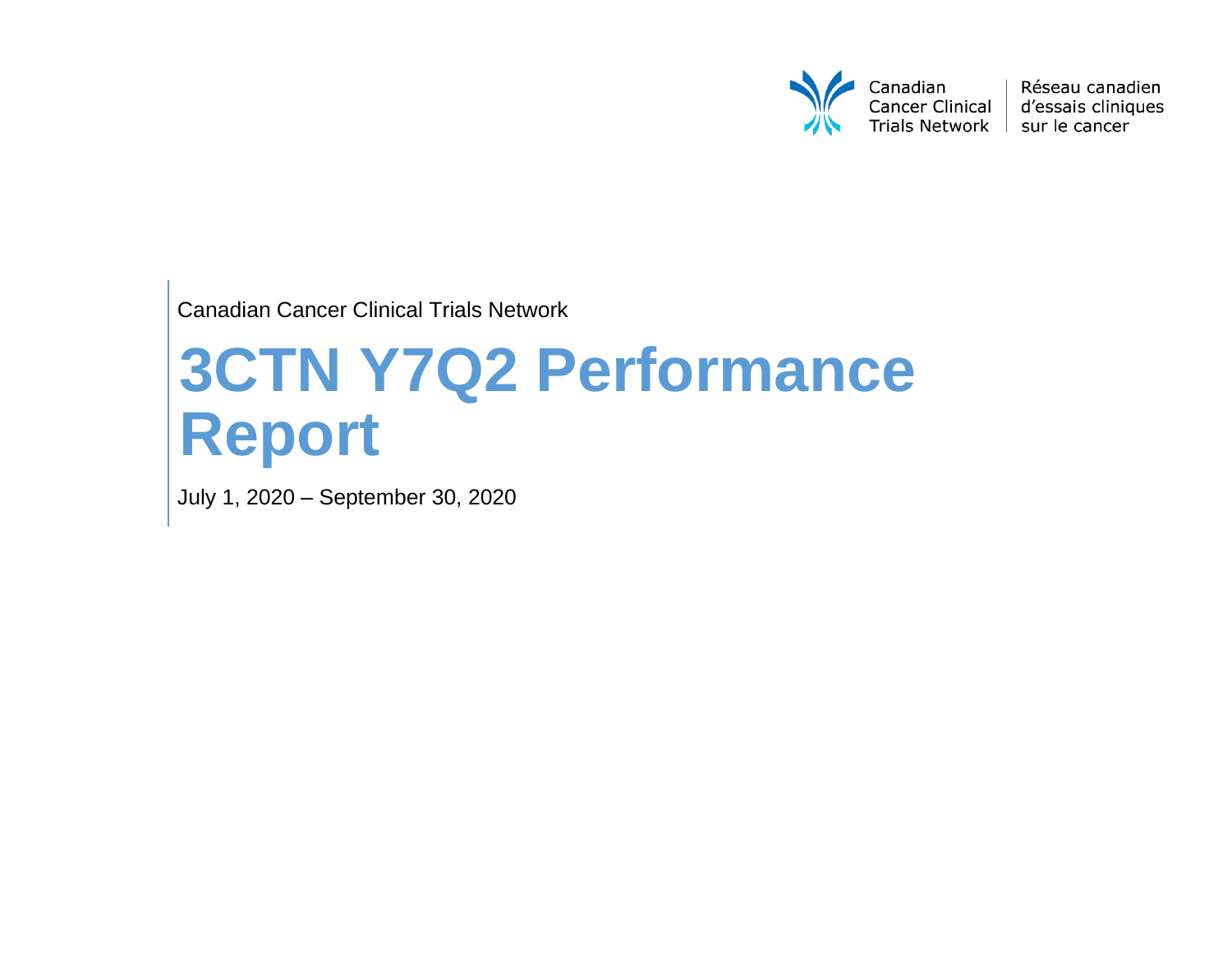

Réseau canadien d'essais cliniques

Canadian Cancer Clinical Trials Network

# **3CTN Y7Q2 Performance Report**

July 1, 2020 – September 30, 2020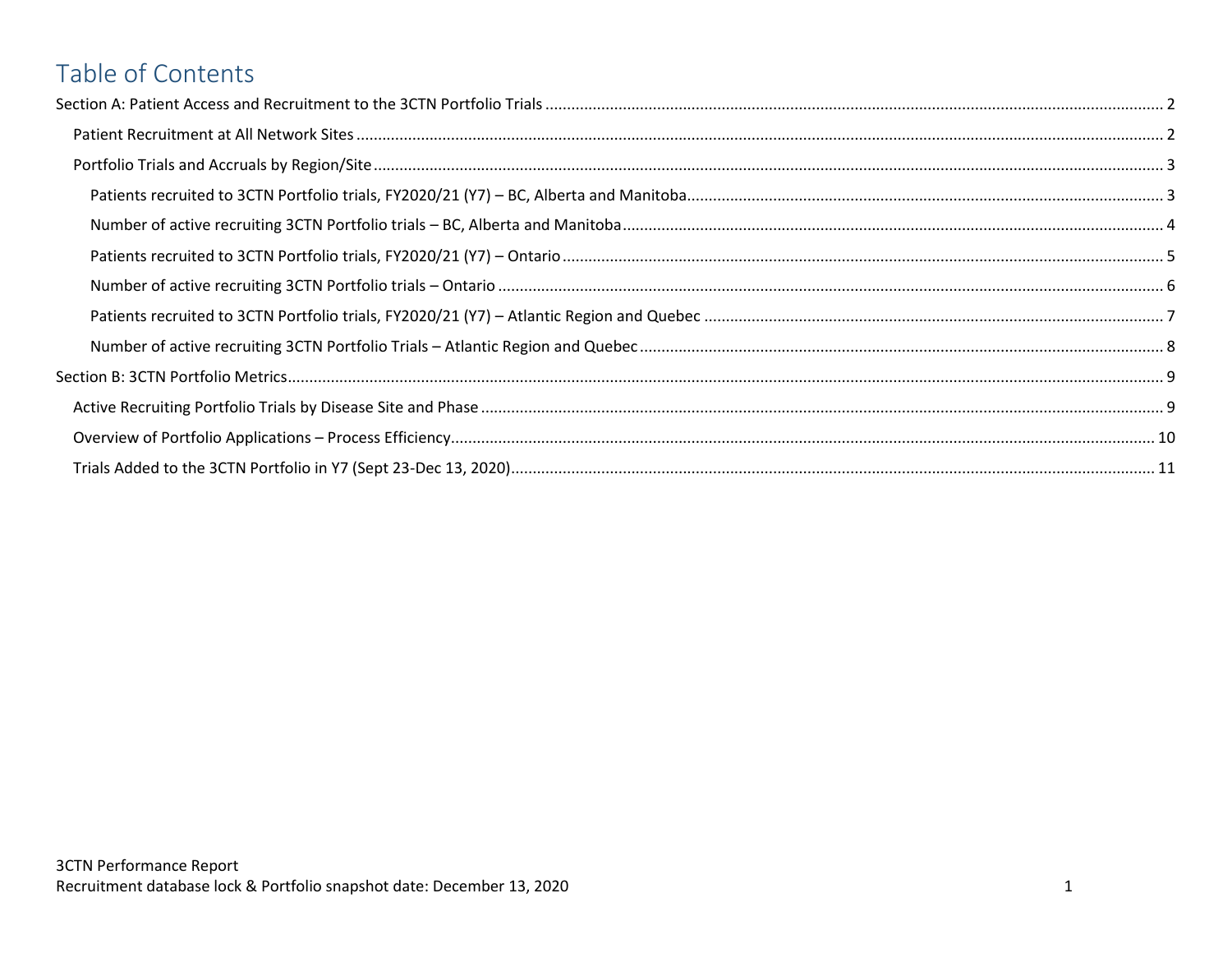# Table of Contents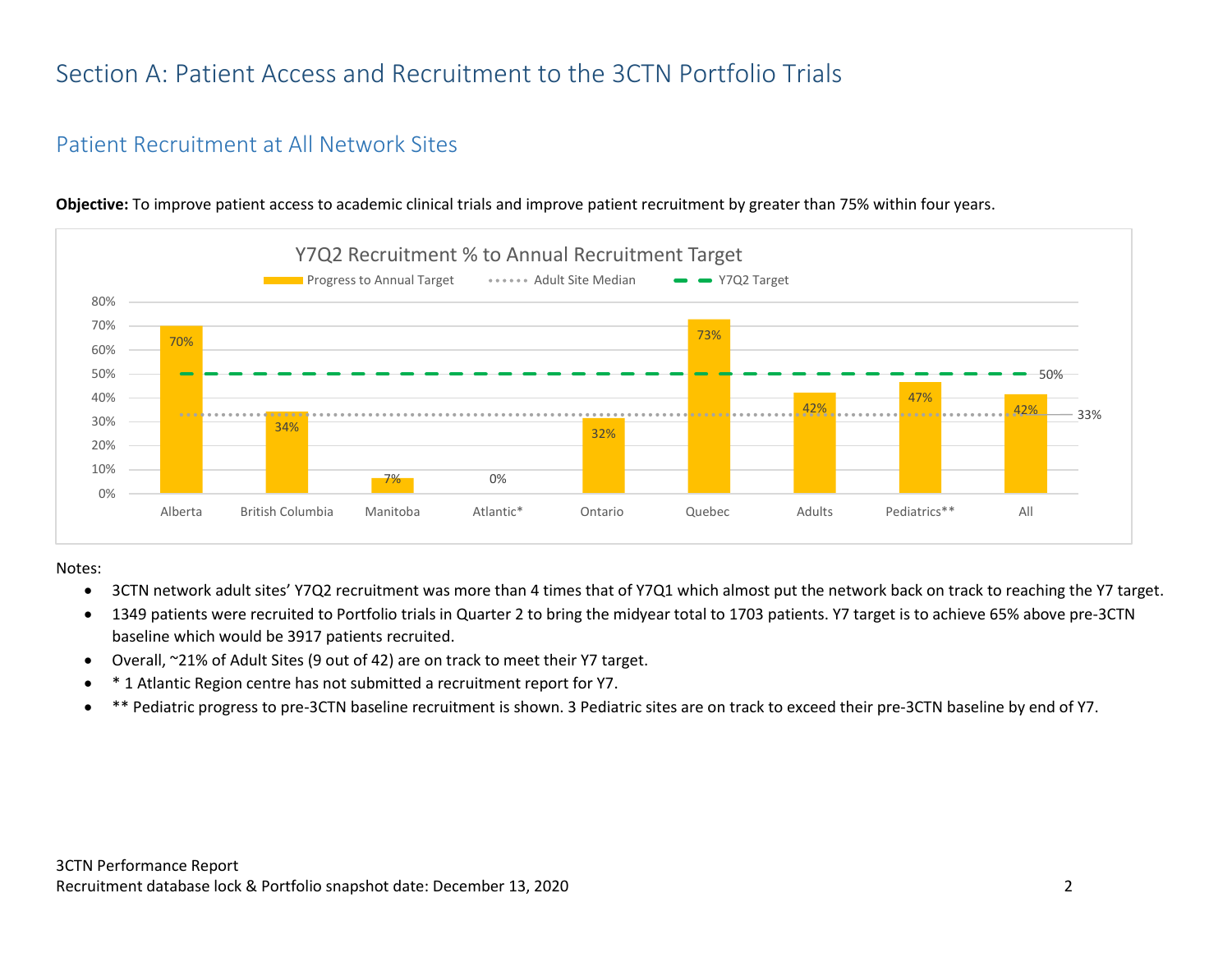## <span id="page-2-0"></span>Section A: Patient Access and Recruitment to the 3CTN Portfolio Trials

### <span id="page-2-1"></span>Patient Recruitment at All Network Sites



**Objective:** To improve patient access to academic clinical trials and improve patient recruitment by greater than 75% within four years.

Notes:

- 3CTN network adult sites' Y7Q2 recruitment was more than 4 times that of Y7Q1 which almost put the network back on track to reaching the Y7 target.
- 1349 patients were recruited to Portfolio trials in Quarter 2 to bring the midyear total to 1703 patients. Y7 target is to achieve 65% above pre-3CTN baseline which would be 3917 patients recruited.
- Overall, ~21% of Adult Sites (9 out of 42) are on track to meet their Y7 target.
- \* 1 Atlantic Region centre has not submitted a recruitment report for Y7.
- \*\* Pediatric progress to pre-3CTN baseline recruitment is shown. 3 Pediatric sites are on track to exceed their pre-3CTN baseline by end of Y7.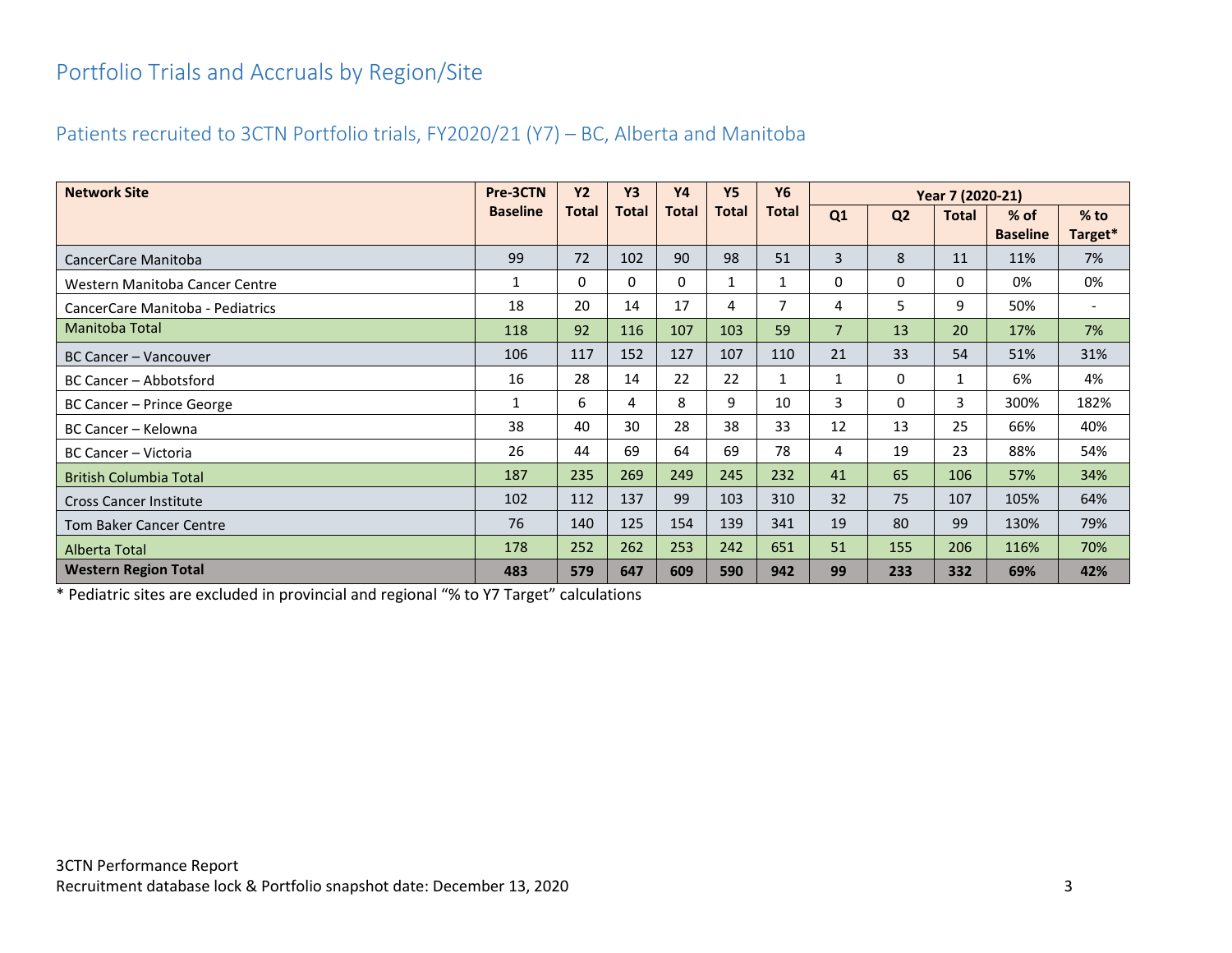## <span id="page-3-0"></span>Portfolio Trials and Accruals by Region/Site

#### <span id="page-3-1"></span>Patients recruited to 3CTN Portfolio trials, FY2020/21 (Y7) – BC, Alberta and Manitoba

| <b>Network Site</b>              | Pre-3CTN        | <b>Y2</b> | <b>Y3</b>    | <b>Y4</b> | <b>Y5</b>    | <b>Y6</b>      | Year 7 (2020-21) |                |              |                           |                          |
|----------------------------------|-----------------|-----------|--------------|-----------|--------------|----------------|------------------|----------------|--------------|---------------------------|--------------------------|
|                                  | <b>Baseline</b> | Total     | <b>Total</b> | Total     | <b>Total</b> | <b>Total</b>   | Q1               | Q <sub>2</sub> | <b>Total</b> | $%$ of<br><b>Baseline</b> | $%$ to<br>Target*        |
| CancerCare Manitoba              | 99              | 72        | 102          | 90        | 98           | 51             | 3                | 8              | 11           | 11%                       | 7%                       |
| Western Manitoba Cancer Centre   |                 | 0         | 0            | 0         |              |                | 0                | 0              | 0            | 0%                        | 0%                       |
| CancerCare Manitoba - Pediatrics | 18              | 20        | 14           | 17        | 4            | $\overline{7}$ | 4                | 5              | 9            | 50%                       | $\overline{\phantom{a}}$ |
| Manitoba Total                   | 118             | 92        | 116          | 107       | 103          | 59             | $\overline{7}$   | 13             | 20           | 17%                       | 7%                       |
| BC Cancer - Vancouver            | 106             | 117       | 152          | 127       | 107          | 110            | 21               | 33             | 54           | 51%                       | 31%                      |
| BC Cancer - Abbotsford           | 16              | 28        | 14           | 22        | 22           | $\mathbf{1}$   | 1                | $\mathbf{0}$   | $\mathbf{1}$ | 6%                        | 4%                       |
| BC Cancer - Prince George        | $\mathbf{1}$    | 6         | 4            | 8         | 9            | 10             | 3                | $\mathbf{0}$   | 3            | 300%                      | 182%                     |
| BC Cancer - Kelowna              | 38              | 40        | 30           | 28        | 38           | 33             | 12               | 13             | 25           | 66%                       | 40%                      |
| BC Cancer - Victoria             | 26              | 44        | 69           | 64        | 69           | 78             | 4                | 19             | 23           | 88%                       | 54%                      |
| <b>British Columbia Total</b>    | 187             | 235       | 269          | 249       | 245          | 232            | 41               | 65             | 106          | 57%                       | 34%                      |
| <b>Cross Cancer Institute</b>    | 102             | 112       | 137          | 99        | 103          | 310            | 32               | 75             | 107          | 105%                      | 64%                      |
| <b>Tom Baker Cancer Centre</b>   | 76              | 140       | 125          | 154       | 139          | 341            | 19               | 80             | 99           | 130%                      | 79%                      |
| Alberta Total                    | 178             | 252       | 262          | 253       | 242          | 651            | 51               | 155            | 206          | 116%                      | 70%                      |
| <b>Western Region Total</b>      | 483             | 579       | 647          | 609       | 590          | 942            | 99               | 233            | 332          | 69%                       | 42%                      |

\* Pediatric sites are excluded in provincial and regional "% to Y7 Target" calculations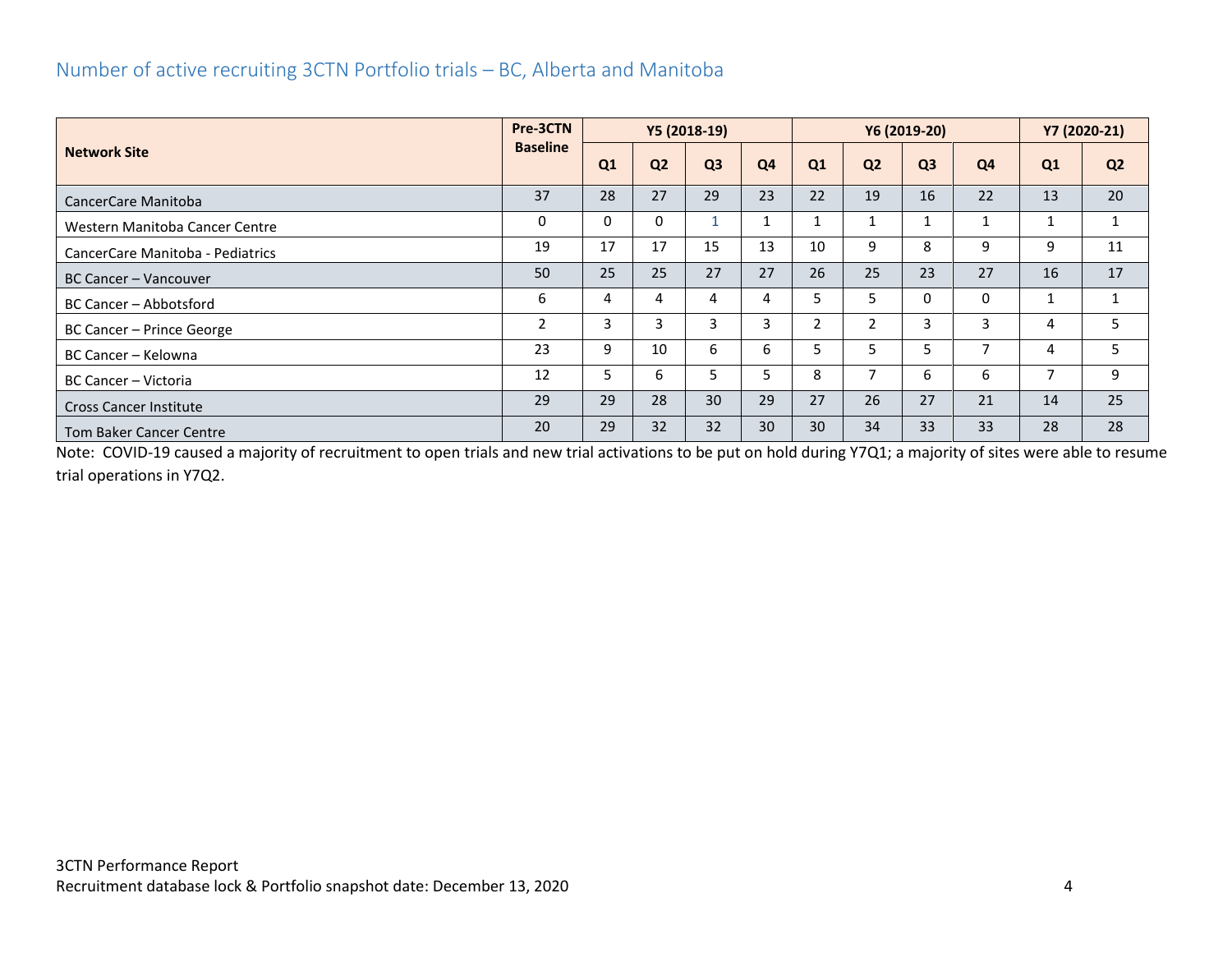#### <span id="page-4-0"></span>Number of active recruiting 3CTN Portfolio trials – BC, Alberta and Manitoba

| <b>Network Site</b>              |                | Pre-3CTN<br>Y5 (2018-19) |                |                |    |    | Y6 (2019-20)   | Y7 (2020-21)   |    |    |                |
|----------------------------------|----------------|--------------------------|----------------|----------------|----|----|----------------|----------------|----|----|----------------|
|                                  |                | Q1                       | Q <sub>2</sub> | Q <sub>3</sub> | Q4 | Q1 | Q <sub>2</sub> | Q <sub>3</sub> | Q4 | Q1 | Q <sub>2</sub> |
| CancerCare Manitoba              | 37             | 28                       | 27             | 29             | 23 | 22 | 19             | 16             | 22 | 13 | 20             |
| Western Manitoba Cancer Centre   | 0              | $\Omega$                 | 0              |                |    |    |                |                |    |    |                |
| CancerCare Manitoba - Pediatrics | 19             | 17                       | 17             | 15             | 13 | 10 | 9              | 8              | 9  | 9  | 11             |
| BC Cancer – Vancouver            | 50             | 25                       | 25             | 27             | 27 | 26 | 25             | 23             | 27 | 16 | 17             |
| <b>BC Cancer - Abbotsford</b>    | 6              | 4                        | 4              | 4              | 4  | 5  | 5              | 0              | 0  |    | 1              |
| BC Cancer - Prince George        | $\overline{2}$ | 3                        | 3              |                | 3  | 2  | 2              | 3              | 3  | 4  | 5.             |
| BC Cancer – Kelowna              | 23             | 9                        | 10             | 6              | 6  | 5  | 5              | 5              | ⇁  | 4  | 5              |
| BC Cancer - Victoria             | 12             | 5                        | 6              |                | 5  | 8  | ⇁              | 6              | 6  | ⇁  | 9              |
| <b>Cross Cancer Institute</b>    | 29             | 29                       | 28             | 30             | 29 | 27 | 26             | 27             | 21 | 14 | 25             |
| <b>Tom Baker Cancer Centre</b>   | 20             | 29                       | 32             | 32             | 30 | 30 | 34             | 33             | 33 | 28 | 28             |

Note: COVID-19 caused a majority of recruitment to open trials and new trial activations to be put on hold during Y7Q1; a majority of sites were able to resume trial operations in Y7Q2.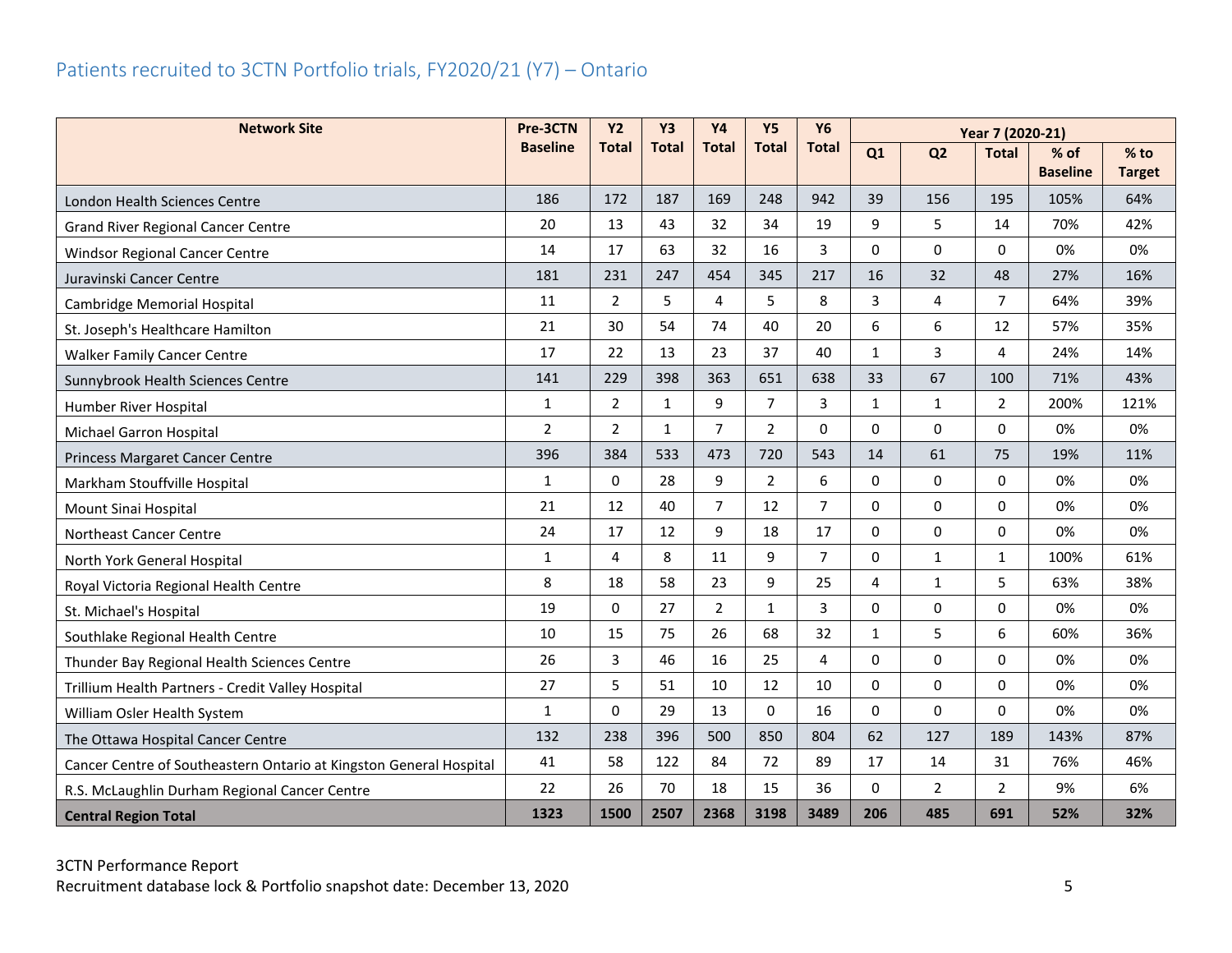## <span id="page-5-0"></span>Patients recruited to 3CTN Portfolio trials, FY2020/21 (Y7) – Ontario

| <b>Network Site</b>                                                | Pre-3CTN        | <b>Y2</b>      | Y <sub>3</sub> | <b>Y4</b>      | <b>Y5</b>      | <b>Y6</b>      |              | Year 7 (2020-21) |                |                         |                         |
|--------------------------------------------------------------------|-----------------|----------------|----------------|----------------|----------------|----------------|--------------|------------------|----------------|-------------------------|-------------------------|
|                                                                    | <b>Baseline</b> | <b>Total</b>   | <b>Total</b>   | <b>Total</b>   | <b>Total</b>   | <b>Total</b>   | Q1           | Q <sub>2</sub>   | <b>Total</b>   | % of<br><b>Baseline</b> | $%$ to<br><b>Target</b> |
| London Health Sciences Centre                                      | 186             | 172            | 187            | 169            | 248            | 942            | 39           | 156              | 195            | 105%                    | 64%                     |
| <b>Grand River Regional Cancer Centre</b>                          | 20              | 13             | 43             | 32             | 34             | 19             | 9            | 5                | 14             | 70%                     | 42%                     |
| Windsor Regional Cancer Centre                                     | 14              | 17             | 63             | 32             | 16             | 3              | $\Omega$     | 0                | $\Omega$       | 0%                      | 0%                      |
| Juravinski Cancer Centre                                           | 181             | 231            | 247            | 454            | 345            | 217            | 16           | 32               | 48             | 27%                     | 16%                     |
| Cambridge Memorial Hospital                                        | 11              | 2              | 5              | 4              | 5              | 8              | 3            | 4                | $\overline{7}$ | 64%                     | 39%                     |
| St. Joseph's Healthcare Hamilton                                   | 21              | 30             | 54             | 74             | 40             | 20             | 6            | 6                | 12             | 57%                     | 35%                     |
| <b>Walker Family Cancer Centre</b>                                 | 17              | 22             | 13             | 23             | 37             | 40             | $\mathbf{1}$ | 3                | 4              | 24%                     | 14%                     |
| Sunnybrook Health Sciences Centre                                  | 141             | 229            | 398            | 363            | 651            | 638            | 33           | 67               | 100            | 71%                     | 43%                     |
| Humber River Hospital                                              | $\mathbf{1}$    | 2              | $\mathbf{1}$   | 9              | $\overline{7}$ | 3              | $\mathbf{1}$ | $\mathbf{1}$     | $\overline{2}$ | 200%                    | 121%                    |
| Michael Garron Hospital                                            | $\overline{2}$  | $\overline{2}$ | $\mathbf{1}$   | $\overline{7}$ | $\overline{2}$ | $\Omega$       | $\Omega$     | $\Omega$         | $\Omega$       | 0%                      | 0%                      |
| Princess Margaret Cancer Centre                                    | 396             | 384            | 533            | 473            | 720            | 543            | 14           | 61               | 75             | 19%                     | 11%                     |
| Markham Stouffville Hospital                                       | $\mathbf{1}$    | $\Omega$       | 28             | 9              | $\overline{2}$ | 6              | $\mathbf{0}$ | 0                | $\Omega$       | 0%                      | 0%                      |
| Mount Sinai Hospital                                               | 21              | 12             | 40             | $\overline{7}$ | 12             | $\overline{7}$ | $\Omega$     | $\Omega$         | $\Omega$       | 0%                      | 0%                      |
| Northeast Cancer Centre                                            | 24              | 17             | 12             | 9              | 18             | 17             | $\Omega$     | $\Omega$         | $\Omega$       | 0%                      | 0%                      |
| North York General Hospital                                        | $\mathbf{1}$    | 4              | 8              | 11             | 9              | $\overline{7}$ | $\mathbf 0$  | $\mathbf{1}$     | $\mathbf{1}$   | 100%                    | 61%                     |
| Royal Victoria Regional Health Centre                              | 8               | 18             | 58             | 23             | 9              | 25             | 4            | $\mathbf{1}$     | 5              | 63%                     | 38%                     |
| St. Michael's Hospital                                             | 19              | 0              | 27             | $\overline{a}$ | $\mathbf{1}$   | 3              | $\Omega$     | 0                | 0              | 0%                      | 0%                      |
| Southlake Regional Health Centre                                   | 10              | 15             | 75             | 26             | 68             | 32             | $\mathbf{1}$ | 5                | 6              | 60%                     | 36%                     |
| Thunder Bay Regional Health Sciences Centre                        | 26              | 3              | 46             | 16             | 25             | 4              | $\mathbf{0}$ | 0                | $\Omega$       | 0%                      | 0%                      |
| Trillium Health Partners - Credit Valley Hospital                  | 27              | 5              | 51             | 10             | 12             | 10             | $\Omega$     | $\Omega$         | $\Omega$       | 0%                      | 0%                      |
| William Osler Health System                                        | $\mathbf{1}$    | $\Omega$       | 29             | 13             | $\Omega$       | 16             | $\Omega$     | $\Omega$         | $\Omega$       | 0%                      | 0%                      |
| The Ottawa Hospital Cancer Centre                                  | 132             | 238            | 396            | 500            | 850            | 804            | 62           | 127              | 189            | 143%                    | 87%                     |
| Cancer Centre of Southeastern Ontario at Kingston General Hospital | 41              | 58             | 122            | 84             | 72             | 89             | 17           | 14               | 31             | 76%                     | 46%                     |
| R.S. McLaughlin Durham Regional Cancer Centre                      | 22              | 26             | 70             | 18             | 15             | 36             | $\Omega$     | $\overline{2}$   | $\overline{2}$ | 9%                      | 6%                      |
| <b>Central Region Total</b>                                        | 1323            | 1500           | 2507           | 2368           | 3198           | 3489           | 206          | 485              | 691            | 52%                     | 32%                     |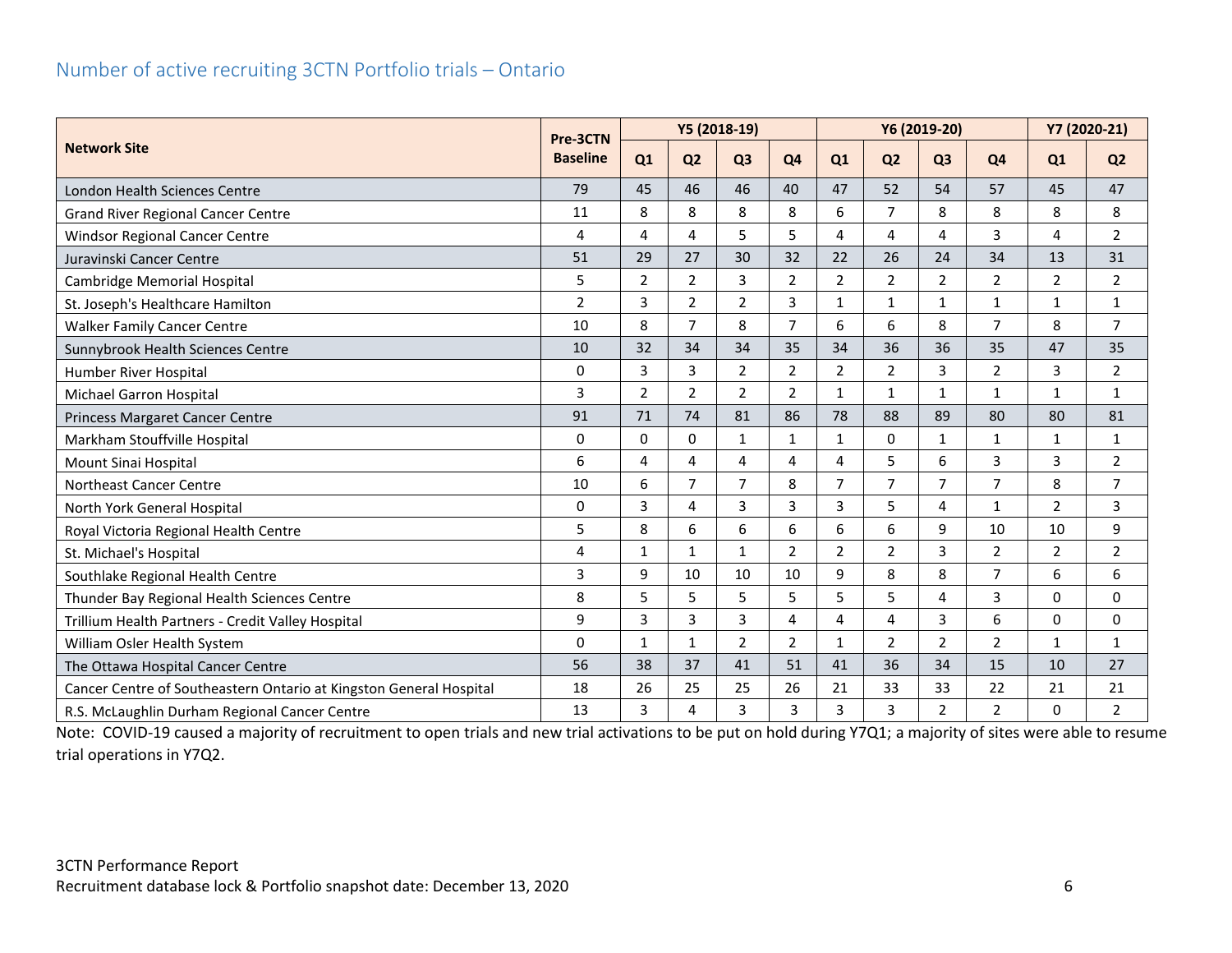#### <span id="page-6-0"></span>Number of active recruiting 3CTN Portfolio trials – Ontario

|                                                                    |                             |                |                | Y5 (2018-19)   |                |                | Y6 (2019-20)   | Y7 (2020-21)   |                |                |                |
|--------------------------------------------------------------------|-----------------------------|----------------|----------------|----------------|----------------|----------------|----------------|----------------|----------------|----------------|----------------|
| <b>Network Site</b>                                                | Pre-3CTN<br><b>Baseline</b> | Q1             | Q <sub>2</sub> | Q <sub>3</sub> | Q <sub>4</sub> | Q1             | Q <sub>2</sub> | Q <sub>3</sub> | Q <sub>4</sub> | Q1             | Q <sub>2</sub> |
| London Health Sciences Centre                                      | 79                          | 45             | 46             | 46             | 40             | 47             | 52             | 54             | 57             | 45             | 47             |
| <b>Grand River Regional Cancer Centre</b>                          | 11                          | 8              | 8              | 8              | 8              | 6              | $\overline{7}$ | 8              | 8              | 8              | 8              |
| <b>Windsor Regional Cancer Centre</b>                              | 4                           | 4              | 4              | 5              | 5              | 4              | 4              | 4              | 3              | 4              | $\overline{2}$ |
| Juravinski Cancer Centre                                           | 51                          | 29             | 27             | 30             | 32             | 22             | 26             | 24             | 34             | 13             | 31             |
| Cambridge Memorial Hospital                                        | 5                           | $\overline{2}$ | 2              | 3              | $\mathbf 2$    | $\overline{2}$ | $\overline{2}$ | $\overline{2}$ | $\overline{2}$ | $\mathbf 2$    | $\overline{2}$ |
| St. Joseph's Healthcare Hamilton                                   | $\overline{2}$              | 3              | $\overline{2}$ | $\overline{2}$ | 3              | $\mathbf{1}$   | $\mathbf{1}$   | $\mathbf{1}$   | $\mathbf{1}$   | $\mathbf{1}$   | $\mathbf{1}$   |
| <b>Walker Family Cancer Centre</b>                                 | 10                          | 8              | $\overline{7}$ | 8              | $\overline{7}$ | 6              | 6              | 8              | $\overline{7}$ | 8              | $\overline{7}$ |
| Sunnybrook Health Sciences Centre                                  | 10                          | 32             | 34             | 34             | 35             | 34             | 36             | 36             | 35             | 47             | 35             |
| Humber River Hospital                                              | $\Omega$                    | 3              | 3              | $\overline{2}$ | $\overline{2}$ | $\overline{2}$ | $\overline{2}$ | 3              | $\overline{2}$ | 3              | $\overline{2}$ |
| Michael Garron Hospital                                            | 3                           | $\overline{2}$ | 2              | $\overline{2}$ | $\overline{2}$ | $\mathbf{1}$   | $\mathbf{1}$   | $\mathbf{1}$   | $\mathbf{1}$   | $\mathbf{1}$   | $\mathbf{1}$   |
| Princess Margaret Cancer Centre                                    | 91                          | 71             | 74             | 81             | 86             | 78             | 88             | 89             | 80             | 80             | 81             |
| Markham Stouffville Hospital                                       | $\Omega$                    | $\Omega$       | $\Omega$       | $\mathbf{1}$   | $\mathbf{1}$   | $\mathbf{1}$   | $\Omega$       | $\mathbf{1}$   | $\mathbf{1}$   | $\mathbf{1}$   | $\mathbf{1}$   |
| Mount Sinai Hospital                                               | 6                           | 4              | 4              | 4              | 4              | 4              | 5              | 6              | 3              | 3              | $\overline{2}$ |
| <b>Northeast Cancer Centre</b>                                     | 10                          | 6              | $\overline{7}$ | $\overline{7}$ | 8              | $\overline{7}$ | $\overline{7}$ | $\overline{7}$ | $\overline{7}$ | 8              | $\overline{7}$ |
| North York General Hospital                                        | $\Omega$                    | 3              | 4              | 3              | 3              | 3              | 5              | 4              | 1              | $\overline{2}$ | 3              |
| Royal Victoria Regional Health Centre                              | 5                           | 8              | 6              | 6              | 6              | 6              | 6              | 9              | 10             | 10             | 9              |
| St. Michael's Hospital                                             | 4                           | $\mathbf{1}$   | $\mathbf{1}$   | $\mathbf{1}$   | $\overline{2}$ | $\overline{2}$ | $\overline{2}$ | 3              | $\overline{2}$ | $\overline{2}$ | $\overline{2}$ |
| Southlake Regional Health Centre                                   | 3                           | 9              | 10             | 10             | 10             | 9              | 8              | 8              | $\overline{7}$ | 6              | 6              |
| Thunder Bay Regional Health Sciences Centre                        | 8                           | 5              | 5              | 5              | 5              | 5              | 5              | 4              | 3              | 0              | 0              |
| Trillium Health Partners - Credit Valley Hospital                  | 9                           | 3              | 3              | 3              | 4              | 4              | 4              | 3              | 6              | 0              | 0              |
| William Osler Health System                                        | $\Omega$                    | $\mathbf{1}$   | $\mathbf{1}$   | $\overline{2}$ | $\overline{2}$ | $\mathbf{1}$   | $\overline{2}$ | $\overline{2}$ | $\overline{2}$ | $\mathbf{1}$   | $\mathbf{1}$   |
| The Ottawa Hospital Cancer Centre                                  | 56                          | 38             | 37             | 41             | 51             | 41             | 36             | 34             | 15             | 10             | 27             |
| Cancer Centre of Southeastern Ontario at Kingston General Hospital | 18                          | 26             | 25             | 25             | 26             | 21             | 33             | 33             | 22             | 21             | 21             |
| R.S. McLaughlin Durham Regional Cancer Centre                      | 13                          | 3              | 4              | 3              | 3              | 3              | 3              | 2              | $\overline{2}$ | 0              | $\overline{2}$ |

Note: COVID-19 caused a majority of recruitment to open trials and new trial activations to be put on hold during Y7Q1; a majority of sites were able to resume trial operations in Y7Q2.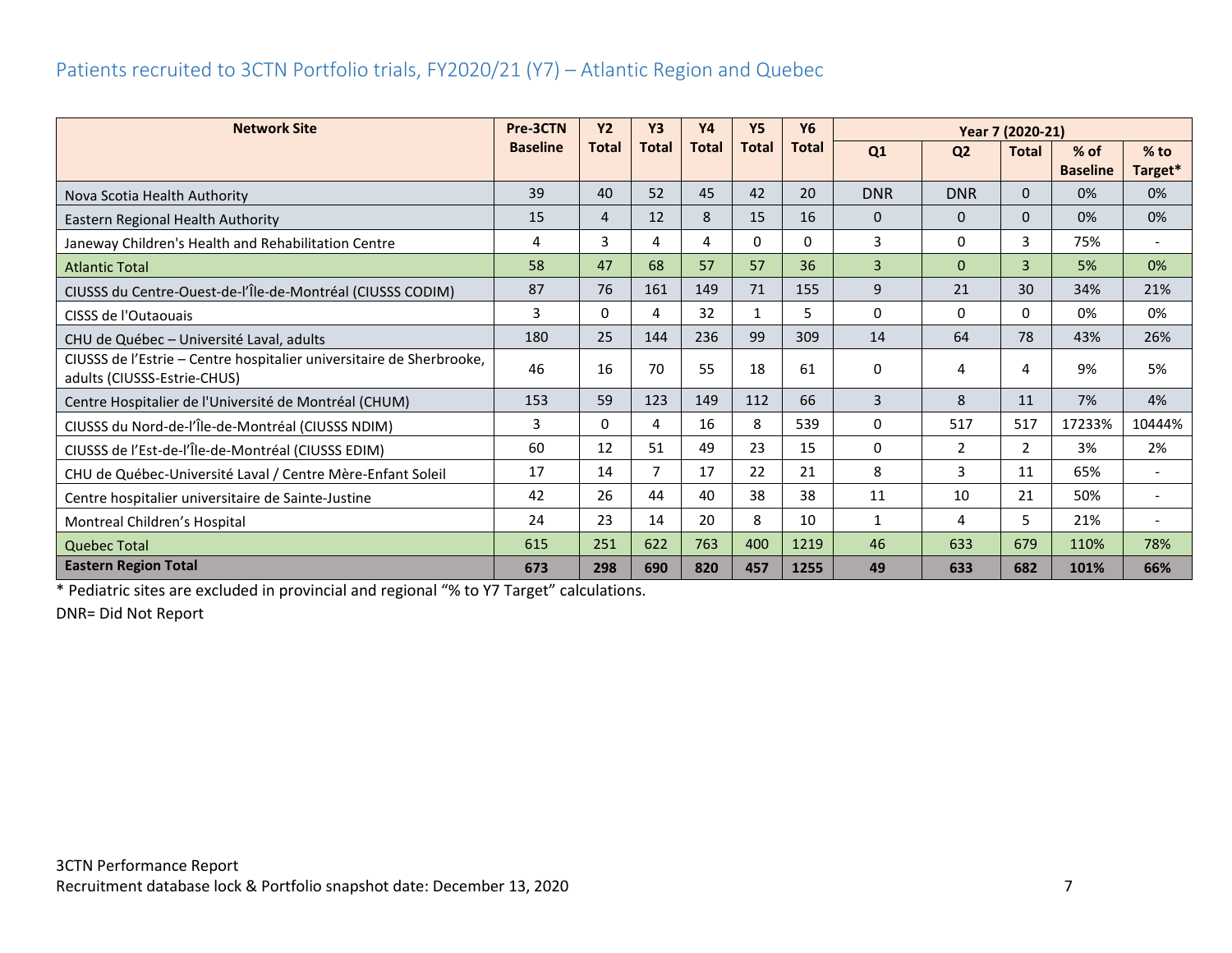#### <span id="page-7-0"></span>Patients recruited to 3CTN Portfolio trials, FY2020/21 (Y7) – Atlantic Region and Quebec

| <b>Network Site</b>                                                                                 | Pre-3CTN        | <b>Y2</b>    | <b>Y3</b>      | <b>Y4</b>    | <b>Y5</b>    | <b>Y6</b>    |              | Year 7 (2020-21) |                |                 |                          |
|-----------------------------------------------------------------------------------------------------|-----------------|--------------|----------------|--------------|--------------|--------------|--------------|------------------|----------------|-----------------|--------------------------|
|                                                                                                     | <b>Baseline</b> | <b>Total</b> | <b>Total</b>   | <b>Total</b> | <b>Total</b> | <b>Total</b> | Q1           | Q <sub>2</sub>   | <b>Total</b>   | $%$ of          | $%$ to                   |
|                                                                                                     |                 |              |                |              |              |              |              |                  |                | <b>Baseline</b> | Target*                  |
| Nova Scotia Health Authority                                                                        | 39              | 40           | 52             | 45           | 42           | 20           | <b>DNR</b>   | <b>DNR</b>       | $\mathbf{0}$   | 0%              | 0%                       |
| Eastern Regional Health Authority                                                                   | 15              | 4            | 12             | 8            | 15           | 16           | $\mathbf{0}$ | $\mathbf{0}$     | $\mathbf{0}$   | 0%              | 0%                       |
| Janeway Children's Health and Rehabilitation Centre                                                 | 4               | 3            | 4              | 4            | 0            | $\Omega$     | 3            | $\mathbf{0}$     | 3              | 75%             | $\overline{\phantom{a}}$ |
| <b>Atlantic Total</b>                                                                               | 58              | 47           | 68             | 57           | 57           | 36           | 3            | $\mathbf{0}$     | $\overline{3}$ | 5%              | 0%                       |
| CIUSSS du Centre-Ouest-de-l'Île-de-Montréal (CIUSSS CODIM)                                          | 87              | 76           | 161            | 149          | 71           | 155          | 9            | 21               | 30             | 34%             | 21%                      |
| CISSS de l'Outaouais                                                                                | 3               | 0            | 4              | 32           | 1            | 5            | 0            | 0                | $\Omega$       | 0%              | 0%                       |
| CHU de Québec - Université Laval, adults                                                            | 180             | 25           | 144            | 236          | 99           | 309          | 14           | 64               | 78             | 43%             | 26%                      |
| CIUSSS de l'Estrie - Centre hospitalier universitaire de Sherbrooke,<br>adults (CIUSSS-Estrie-CHUS) | 46              | 16           | 70             | 55           | 18           | 61           | 0            | 4                | 4              | 9%              | 5%                       |
| Centre Hospitalier de l'Université de Montréal (CHUM)                                               | 153             | 59           | 123            | 149          | 112          | 66           | 3            | 8                | 11             | 7%              | 4%                       |
| CIUSSS du Nord-de-l'Île-de-Montréal (CIUSSS NDIM)                                                   | 3               | 0            | 4              | 16           | 8            | 539          | 0            | 517              | 517            | 17233%          | 10444%                   |
| CIUSSS de l'Est-de-l'Île-de-Montréal (CIUSSS EDIM)                                                  | 60              | 12           | 51             | 49           | 23           | 15           | 0            | $\overline{2}$   | $\overline{2}$ | 3%              | 2%                       |
| CHU de Québec-Université Laval / Centre Mère-Enfant Soleil                                          | 17              | 14           | $\overline{7}$ | 17           | 22           | 21           | 8            | 3                | 11             | 65%             | $\overline{\phantom{a}}$ |
| Centre hospitalier universitaire de Sainte-Justine                                                  | 42              | 26           | 44             | 40           | 38           | 38           | 11           | 10               | 21             | 50%             | $\overline{\phantom{a}}$ |
| Montreal Children's Hospital                                                                        | 24              | 23           | 14             | 20           | 8            | 10           | 1            | 4                | 5.             | 21%             |                          |
| <b>Quebec Total</b>                                                                                 | 615             | 251          | 622            | 763          | 400          | 1219         | 46           | 633              | 679            | 110%            | 78%                      |
| <b>Eastern Region Total</b>                                                                         | 673             | 298          | 690            | 820          | 457          | 1255         | 49           | 633              | 682            | 101%            | 66%                      |

\* Pediatric sites are excluded in provincial and regional "% to Y7 Target" calculations.

DNR= Did Not Report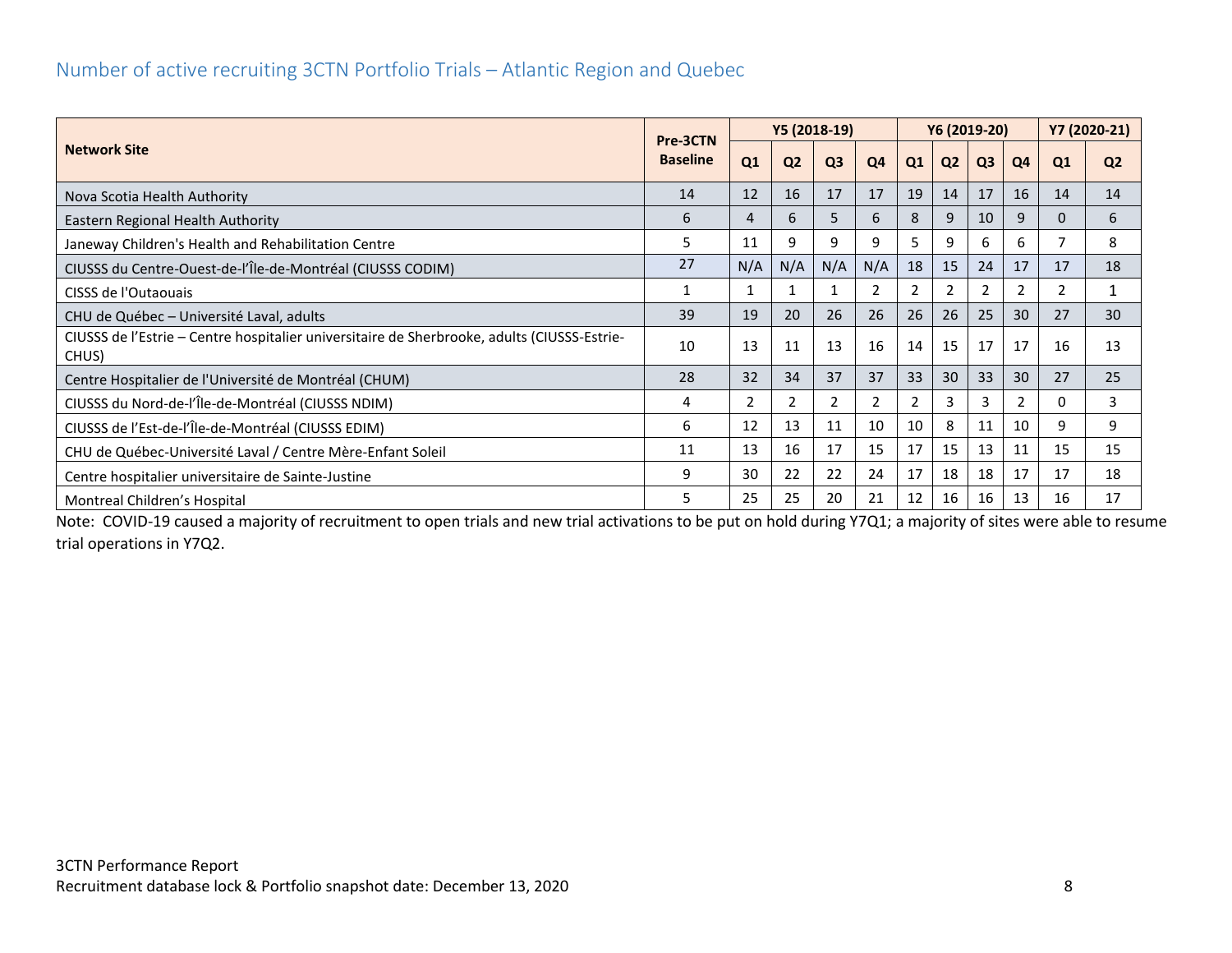#### <span id="page-8-0"></span>Number of active recruiting 3CTN Portfolio Trials – Atlantic Region and Quebec

| <b>Network Site</b>                                                                                  |    |              | Y5 (2018-19)   |                |     | Y6 (2019-20) |                |                |                | Y7 (2020-21) |                |
|------------------------------------------------------------------------------------------------------|----|--------------|----------------|----------------|-----|--------------|----------------|----------------|----------------|--------------|----------------|
|                                                                                                      |    | Q1           | Q <sub>2</sub> | Q <sub>3</sub> | Q4  | Q1           | Q <sub>2</sub> | Q <sub>3</sub> | Q <sub>4</sub> | Q1           | Q <sub>2</sub> |
| Nova Scotia Health Authority                                                                         | 14 | 12           | 16             | 17             | 17  | 19           | 14             | 17             | 16             | 14           | 14             |
| Eastern Regional Health Authority                                                                    | 6  | 4            | 6              | 5              | 6   | 8            | 9              | 10             | 9              | $\Omega$     | 6              |
| Janeway Children's Health and Rehabilitation Centre                                                  | 5  | 11           | 9              | 9              | 9   | 5            | 9              | 6              | 6              |              | 8              |
| CIUSSS du Centre-Ouest-de-l'Île-de-Montréal (CIUSSS CODIM)                                           | 27 | N/A          | N/A            | N/A            | N/A | 18           | 15             | 24             | 17             | 17           | 18             |
| CISSS de l'Outaouais                                                                                 |    |              |                |                | 2   | 2            | 2              |                | 2              | 2            |                |
| CHU de Québec - Université Laval, adults                                                             | 39 | 19           | 20             | 26             | 26  | 26           | 26             | 25             | 30             | 27           | 30             |
| CIUSSS de l'Estrie - Centre hospitalier universitaire de Sherbrooke, adults (CIUSSS-Estrie-<br>CHUS) | 10 | 13           | 11             | 13             | 16  | 14           | 15             | 17             | 17             | 16           | 13             |
| Centre Hospitalier de l'Université de Montréal (CHUM)                                                | 28 | 32           | 34             | 37             | 37  | 33           | 30             | 33             | 30             | 27           | 25             |
| CIUSSS du Nord-de-l'Île-de-Montréal (CIUSSS NDIM)                                                    | 4  | $\mathbf{2}$ | 2              | 2              | 2   | 2            | 3              |                | 2              | 0            | 3              |
| CIUSSS de l'Est-de-l'Île-de-Montréal (CIUSSS EDIM)                                                   | 6  | 12           | 13             | 11             | 10  | 10           | 8              | 11             | 10             | 9            | 9              |
| CHU de Québec-Université Laval / Centre Mère-Enfant Soleil                                           | 11 | 13           | 16             | 17             | 15  | 17           | 15             | 13             | 11             | 15           | 15             |
| Centre hospitalier universitaire de Sainte-Justine                                                   | 9  | 30           | 22             | 22             | 24  | 17           | 18             | 18             | 17             | 17           | 18             |
| Montreal Children's Hospital                                                                         | 5  | 25           | 25             | 20             | 21  | 12           | 16             | 16             | 13             | 16           | 17             |

Note: COVID-19 caused a majority of recruitment to open trials and new trial activations to be put on hold during Y7Q1; a majority of sites were able to resume trial operations in Y7Q2.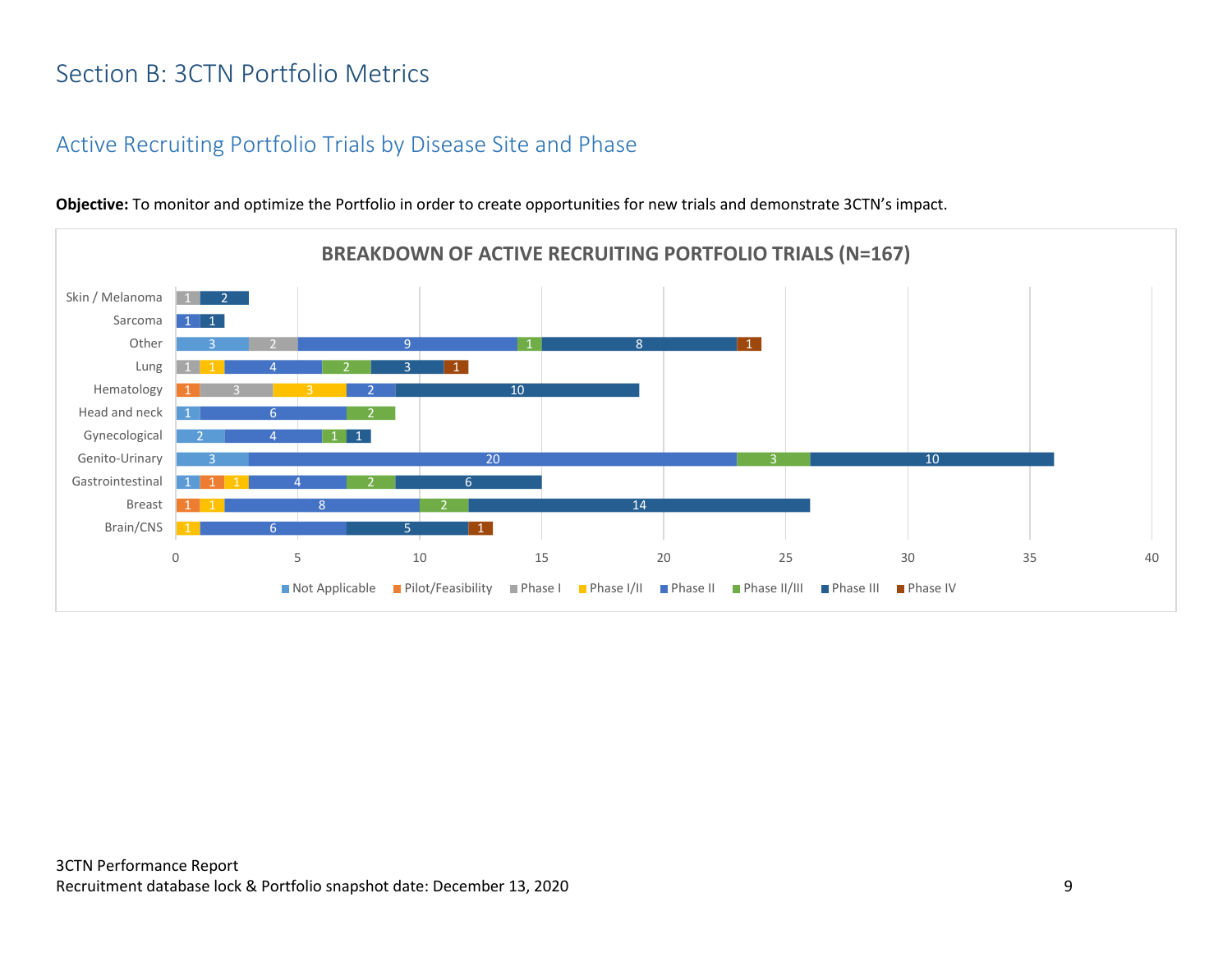## <span id="page-9-0"></span>Section B: 3CTN Portfolio Metrics

### <span id="page-9-1"></span>Active Recruiting Portfolio Trials by Disease Site and Phase



**Objective:** To monitor and optimize the Portfolio in order to create opportunities for new trials and demonstrate 3CTN's impact.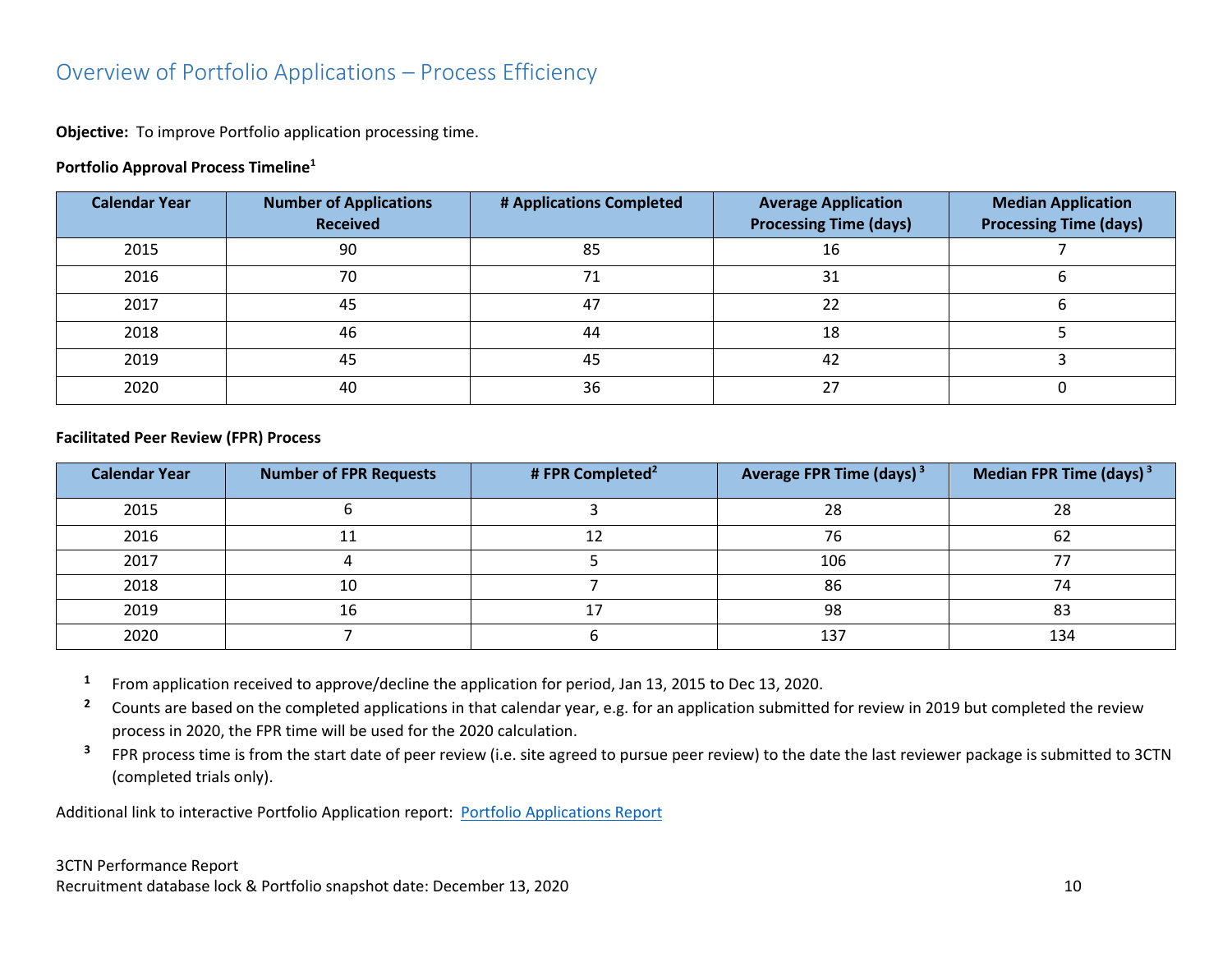## <span id="page-10-0"></span>Overview of Portfolio Applications – Process Efficiency

**Objective:** To improve Portfolio application processing time.

#### **Portfolio Approval Process Timeline<sup>1</sup>**

| <b>Calendar Year</b> | <b>Number of Applications</b><br><b>Received</b> | # Applications Completed | <b>Average Application</b><br><b>Processing Time (days)</b> | <b>Median Application</b><br><b>Processing Time (days)</b> |
|----------------------|--------------------------------------------------|--------------------------|-------------------------------------------------------------|------------------------------------------------------------|
| 2015                 | 90                                               | 85                       | 16                                                          |                                                            |
| 2016                 | 70                                               | 71                       | 31                                                          |                                                            |
| 2017                 | 45                                               | 47                       | 22                                                          |                                                            |
| 2018                 | 46                                               | 44                       | 18                                                          |                                                            |
| 2019                 | 45                                               | 45                       | 42                                                          |                                                            |
| 2020                 | 40                                               | 36                       | 27                                                          |                                                            |

#### **Facilitated Peer Review (FPR) Process**

| <b>Calendar Year</b> | <b>Number of FPR Requests</b> | # FPR Completed <sup>2</sup> | Average FPR Time (days) <sup>3</sup> | Median FPR Time (days) $3$ |
|----------------------|-------------------------------|------------------------------|--------------------------------------|----------------------------|
| 2015                 |                               |                              | 28                                   | 28                         |
| 2016                 |                               |                              | 76                                   | 62                         |
| 2017                 |                               |                              | 106                                  |                            |
| 2018                 | 10                            |                              | 86                                   | 7Δ                         |
| 2019                 | 16                            |                              | 98                                   | 83                         |
| 2020                 |                               |                              | 137                                  | 134                        |

- **1** From application received to approve/decline the application for period, Jan 13, 2015 to Dec 13, 2020.
- <sup>2</sup> Counts are based on the completed applications in that calendar year, e.g. for an application submitted for review in 2019 but completed the review process in 2020, the FPR time will be used for the 2020 calculation.
- **3** FPR process time is from the start date of peer review (i.e. site agreed to pursue peer review) to the date the last reviewer package is submitted to 3CTN (completed trials only).

Additional link to interactive Portfolio Application report: [Portfolio Applications Report](https://app.powerbi.com/view?r=eyJrIjoiNDkxODMzYTctYjhkZi00MjhkLWJiNzMtMjcyYmU2MmE4MjM5IiwidCI6IjlkZjk0OWY4LWE2ZWItNDE5ZC05Y2FhLTFmOGM4M2RiNjc0ZiJ9)